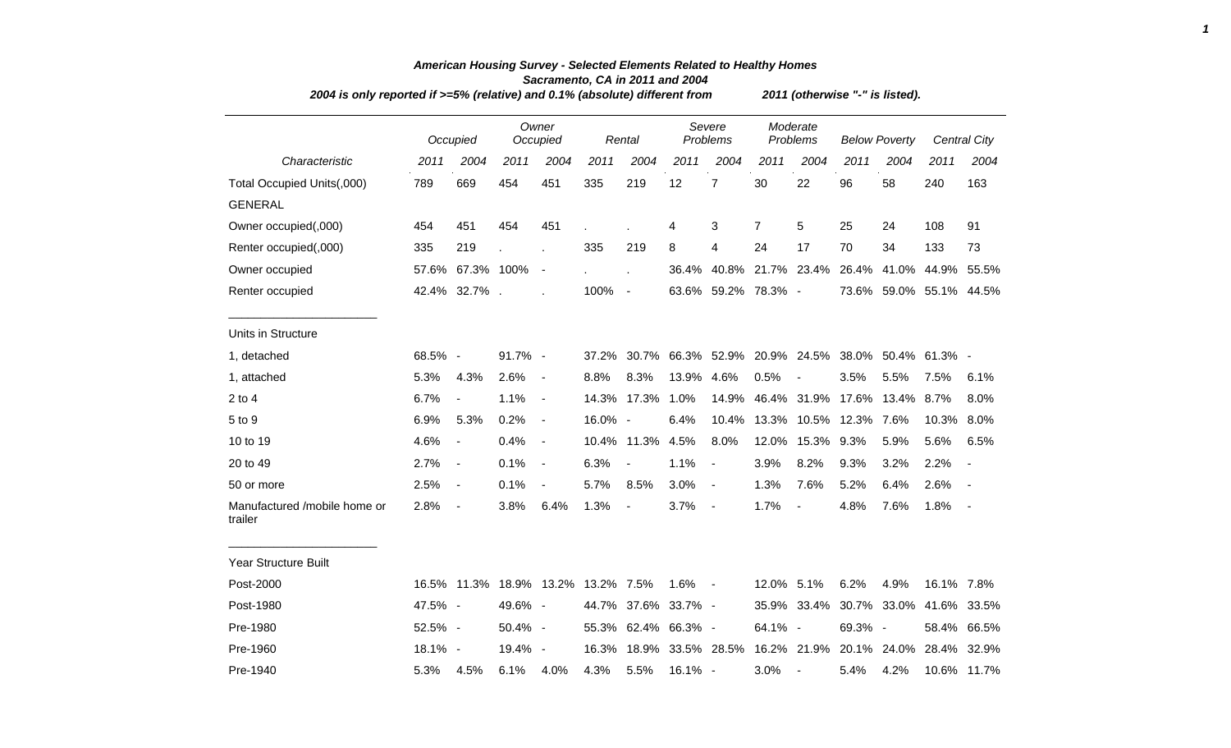|                                         | 2004 is only reported if >=5% (relative) and 0.1% (absolute) different from |                                    |         |                   |         |                          |         |                                                   |                |                          | 2011 (otherwise "-" is listed). |                         |             |                          |  |  |  |
|-----------------------------------------|-----------------------------------------------------------------------------|------------------------------------|---------|-------------------|---------|--------------------------|---------|---------------------------------------------------|----------------|--------------------------|---------------------------------|-------------------------|-------------|--------------------------|--|--|--|
|                                         |                                                                             | Occupied                           |         | Owner<br>Occupied |         | Rental                   |         | Severe<br>Problems                                |                | Moderate<br>Problems     | <b>Below Poverty</b>            |                         |             | Central City             |  |  |  |
| Characteristic                          | 2011                                                                        | 2004                               | 2011    | 2004              | 2011    | 2004                     | 2011    | 2004                                              | 2011           | 2004                     | 2011                            | 2004                    | 2011        | 2004                     |  |  |  |
| Total Occupied Units(,000)              | 789                                                                         | 669                                | 454     | 451               | 335     | 219                      | 12      | $\overline{7}$                                    | 30             | 22                       | 96                              | 58                      | 240         | 163                      |  |  |  |
| <b>GENERAL</b>                          |                                                                             |                                    |         |                   |         |                          |         |                                                   |                |                          |                                 |                         |             |                          |  |  |  |
| Owner occupied(,000)                    | 454                                                                         | 451                                | 454     | 451               |         |                          | 4       | 3                                                 | $\overline{7}$ | 5                        | 25                              | 24                      | 108         | 91                       |  |  |  |
| Renter occupied(,000)                   | 335                                                                         | 219                                |         |                   | 335     | 219                      | 8       | 4                                                 | 24             | 17                       | 70                              | 34                      | 133         | 73                       |  |  |  |
| Owner occupied                          | 57.6%                                                                       | 67.3% 100%                         |         | $\blacksquare$    |         |                          | 36.4%   |                                                   |                | 40.8% 21.7% 23.4% 26.4%  |                                 | 41.0%                   | 44.9%       | 55.5%                    |  |  |  |
| Renter occupied                         |                                                                             | 42.4% 32.7%.                       |         |                   | 100%    | $\blacksquare$           |         | 63.6% 59.2% 78.3% -                               |                |                          |                                 | 73.6% 59.0% 55.1% 44.5% |             |                          |  |  |  |
| Units in Structure                      |                                                                             |                                    |         |                   |         |                          |         |                                                   |                |                          |                                 |                         |             |                          |  |  |  |
| 1, detached                             | 68.5% -                                                                     |                                    | 91.7% - |                   | 37.2%   |                          |         | 30.7% 66.3% 52.9% 20.9% 24.5% 38.0% 50.4% 61.3% - |                |                          |                                 |                         |             |                          |  |  |  |
| 1, attached                             | 5.3%                                                                        | 4.3%                               | 2.6%    | $\blacksquare$    | 8.8%    | 8.3%                     | 13.9%   | 4.6%                                              | 0.5%           | $\overline{\phantom{a}}$ | 3.5%                            | 5.5%                    | 7.5%        | 6.1%                     |  |  |  |
| $2$ to 4                                | 6.7%                                                                        | $\overline{\phantom{a}}$           | 1.1%    | $\blacksquare$    | 14.3%   | 17.3%                    | 1.0%    | 14.9%                                             |                | 46.4% 31.9%              | 17.6%                           | 13.4%                   | 8.7%        | 8.0%                     |  |  |  |
| 5 to 9                                  | 6.9%                                                                        | 5.3%                               | 0.2%    | $\blacksquare$    | 16.0% - |                          | 6.4%    | 10.4%                                             |                | 13.3% 10.5% 12.3%        |                                 | 7.6%                    | 10.3%       | $8.0\%$                  |  |  |  |
| 10 to 19                                | 4.6%                                                                        | $\overline{\phantom{a}}$           | 0.4%    | $\blacksquare$    |         | 10.4% 11.3%              | 4.5%    | 8.0%                                              | 12.0%          | 15.3%                    | 9.3%                            | 5.9%                    | 5.6%        | 6.5%                     |  |  |  |
| 20 to 49                                | 2.7%                                                                        | $\blacksquare$                     | 0.1%    | $\blacksquare$    | 6.3%    | $\overline{\phantom{a}}$ | 1.1%    | $\overline{\phantom{a}}$                          | 3.9%           | 8.2%                     | 9.3%                            | 3.2%                    | 2.2%        |                          |  |  |  |
| 50 or more                              | 2.5%                                                                        | $\blacksquare$                     | 0.1%    | $\blacksquare$    | 5.7%    | 8.5%                     | 3.0%    | $\blacksquare$                                    | 1.3%           | 7.6%                     | 5.2%                            | 6.4%                    | 2.6%        |                          |  |  |  |
| Manufactured /mobile home or<br>trailer | 2.8%                                                                        | $\blacksquare$                     | 3.8%    | 6.4%              | 1.3%    | $\blacksquare$           | 3.7%    | $\blacksquare$                                    | 1.7%           | $\overline{\phantom{a}}$ | 4.8%                            | 7.6%                    | 1.8%        | $\overline{\phantom{a}}$ |  |  |  |
| Year Structure Built                    |                                                                             |                                    |         |                   |         |                          |         |                                                   |                |                          |                                 |                         |             |                          |  |  |  |
| Post-2000                               |                                                                             | 16.5% 11.3% 18.9% 13.2% 13.2% 7.5% |         |                   |         |                          | 1.6%    | $\sim$ $-$                                        | 12.0% 5.1%     |                          | 6.2%                            | 4.9%                    | 16.1% 7.8%  |                          |  |  |  |
| Post-1980                               | 47.5% -                                                                     |                                    | 49.6% - |                   |         | 44.7% 37.6% 33.7% -      |         |                                                   | 35.9%          |                          | 33.4% 30.7% 33.0%               |                         | 41.6% 33.5% |                          |  |  |  |
| Pre-1980                                | 52.5% -                                                                     |                                    | 50.4% - |                   |         | 55.3% 62.4% 66.3% -      |         |                                                   | 64.1% -        |                          | 69.3% -                         |                         | 58.4%       | 66.5%                    |  |  |  |
| Pre-1960                                | $18.1\% -$                                                                  |                                    | 19.4% - |                   | 16.3%   |                          |         | 18.9% 33.5% 28.5%                                 |                | 16.2% 21.9% 20.1% 24.0%  |                                 |                         | 28.4%       | 32.9%                    |  |  |  |
| Pre-1940                                | 5.3%                                                                        | 4.5%                               | 6.1%    | 4.0%              | 4.3%    | 5.5%                     | 16.1% - |                                                   | 3.0%           | $\blacksquare$           | 5.4%                            | 4.2%                    |             | 10.6% 11.7%              |  |  |  |

## *American Housing Survey - Selected Elements Related to Healthy Homes Sacramento, CA in 2011 and 2004*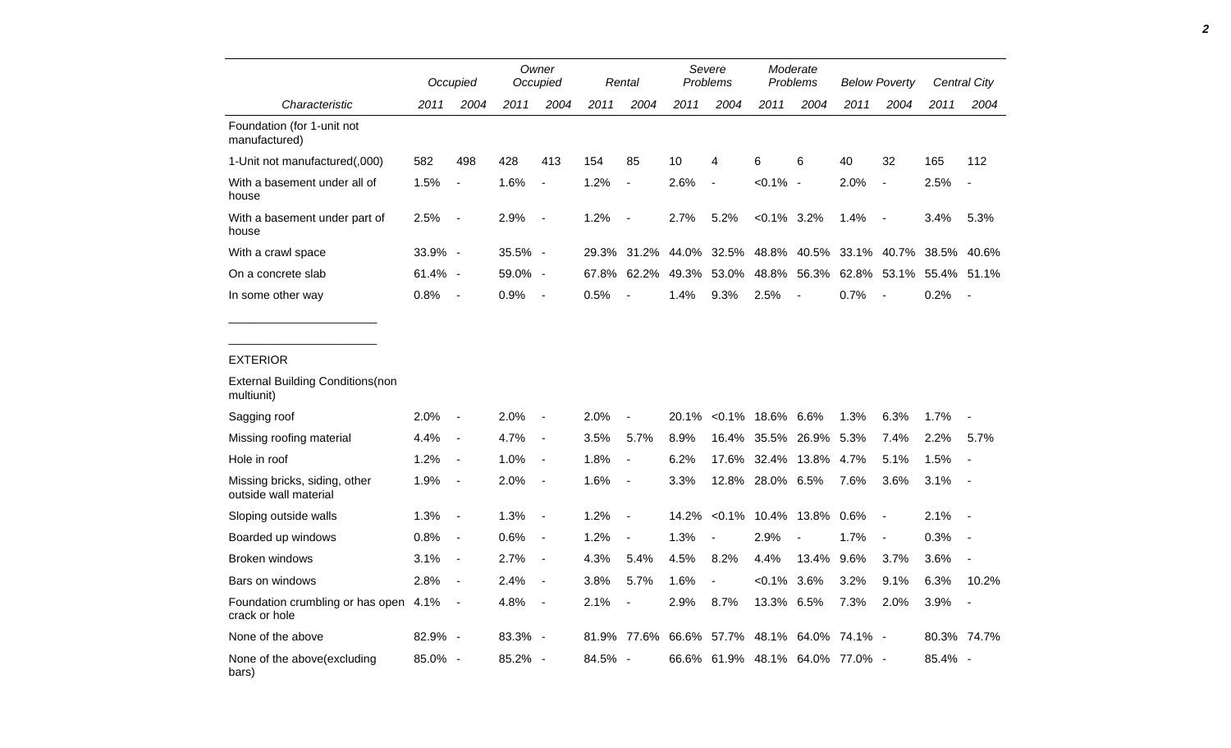|                                                                           |              | Occupied                                   |              | Owner<br>Occupied                |              | Rental                   |               | Severe<br><b>Problems</b> |                      | Moderate<br>Problems       |                           | <b>Below Poverty</b>     |              | Central City             |
|---------------------------------------------------------------------------|--------------|--------------------------------------------|--------------|----------------------------------|--------------|--------------------------|---------------|---------------------------|----------------------|----------------------------|---------------------------|--------------------------|--------------|--------------------------|
| Characteristic                                                            | 2011         | 2004                                       | 2011         | 2004                             | 2011         | 2004                     | 2011          | 2004                      | 2011                 | 2004                       | 2011                      | 2004                     | 2011         | 2004                     |
| Foundation (for 1-unit not<br>manufactured)                               |              |                                            |              |                                  |              |                          |               |                           |                      |                            |                           |                          |              |                          |
| 1-Unit not manufactured(,000)                                             | 582          | 498                                        | 428          | 413                              | 154          | 85                       | 10            | 4                         | 6                    | 6                          | 40                        | 32                       | 165          | 112                      |
| With a basement under all of<br>house                                     | 1.5%         | $\blacksquare$                             | 1.6%         | $\overline{a}$                   | 1.2%         | $\blacksquare$           | 2.6%          | $\overline{\phantom{a}}$  | $< 0.1\%$ -          |                            | 2.0%                      | $\overline{\phantom{a}}$ | 2.5%         | $\sim$                   |
| With a basement under part of<br>house                                    | 2.5%         | $\sim$                                     | 2.9%         | $\blacksquare$                   | 1.2%         | $\blacksquare$           | 2.7%          | 5.2%                      | $< 0.1\%$ 3.2%       |                            | 1.4%                      | $\overline{\phantom{a}}$ | 3.4%         | 5.3%                     |
| With a crawl space                                                        | 33.9% -      |                                            | 35.5% -      |                                  |              | 29.3% 31.2%              | 44.0%         | 32.5%                     | 48.8%                | 40.5%                      |                           | 33.1% 40.7%              |              | 38.5% 40.6%              |
| On a concrete slab                                                        | 61.4% -      |                                            | 59.0% -      |                                  | 67.8%        | 62.2%                    | 49.3%         | 53.0%                     |                      | 48.8% 56.3%                |                           | 62.8% 53.1%              | 55.4% 51.1%  |                          |
| In some other way                                                         | 0.8%         | $\sim$ $-$                                 | 0.9%         | $\blacksquare$                   | 0.5%         | $\overline{a}$           | 1.4%          | 9.3%                      | 2.5%                 | $\blacksquare$             | 0.7%                      | $\overline{\phantom{a}}$ | 0.2%         | $\overline{\phantom{a}}$ |
| <b>EXTERIOR</b><br><b>External Building Conditions (non</b><br>multiunit) |              |                                            |              |                                  |              |                          |               |                           |                      |                            |                           |                          |              |                          |
|                                                                           |              |                                            |              |                                  |              |                          |               |                           |                      |                            |                           |                          |              |                          |
| Sagging roof                                                              | 2.0%<br>4.4% | $\blacksquare$<br>$\overline{\phantom{a}}$ | 2.0%<br>4.7% | $\blacksquare$<br>$\blacksquare$ | 2.0%<br>3.5% | 5.7%                     | 20.1%<br>8.9% | 16.4%                     | $< 0.1\%$ 18.6% 6.6% |                            | 1.3%                      | 6.3%                     | 1.7%         |                          |
| Missing roofing material<br>Hole in roof                                  | 1.2%         | $\overline{\phantom{a}}$                   | 1.0%         | $\blacksquare$                   | 1.8%         | $\sim$                   | 6.2%          | 17.6%                     |                      | 35.5% 26.9%<br>32.4% 13.8% | 5.3%<br>4.7%              | 7.4%<br>5.1%             | 2.2%<br>1.5% | 5.7%<br>$\blacksquare$   |
| Missing bricks, siding, other                                             | 1.9%         | $\overline{\phantom{a}}$                   | 2.0%         | $\blacksquare$                   | 1.6%         | $\overline{\phantom{a}}$ | 3.3%          |                           | 12.8% 28.0% 6.5%     |                            | 7.6%                      | 3.6%                     | 3.1%         | $\overline{\phantom{a}}$ |
| outside wall material                                                     |              |                                            |              |                                  |              |                          |               |                           |                      |                            |                           |                          |              |                          |
| Sloping outside walls                                                     | 1.3%         | $\sim$                                     | 1.3%         | $\blacksquare$                   | 1.2%         | $\blacksquare$           | 14.2%         |                           |                      | $< 0.1\%$ 10.4% 13.8%      | 0.6%                      | $\sim$                   | 2.1%         | $\overline{\phantom{a}}$ |
| Boarded up windows                                                        | 0.8%         | $\sim$                                     | 0.6%         | $\blacksquare$                   | 1.2%         | $\overline{a}$           | 1.3%          |                           | 2.9%                 |                            | 1.7%                      | $\overline{\phantom{a}}$ | 0.3%         |                          |
| <b>Broken windows</b>                                                     | 3.1%         | $\sim$                                     | 2.7%         | $\blacksquare$                   | 4.3%         | 5.4%                     | 4.5%          | 8.2%                      | 4.4%                 | 13.4%                      | 9.6%                      | 3.7%                     | 3.6%         | $\overline{a}$           |
| Bars on windows                                                           | 2.8%         | $\sim$ $-$                                 | 2.4%         | $\blacksquare$                   | 3.8%         | 5.7%                     | 1.6%          | $\blacksquare$            | $< 0.1\%$ 3.6%       |                            | 3.2%                      | 9.1%                     | 6.3%         | 10.2%                    |
| Foundation crumbling or has open 4.1%<br>crack or hole                    |              | $\sim$                                     | 4.8%         | $\blacksquare$                   | 2.1%         | $\blacksquare$           | 2.9%          | 8.7%                      | 13.3% 6.5%           |                            | 7.3%                      | 2.0%                     | 3.9%         | $\blacksquare$           |
| None of the above                                                         | 82.9% -      |                                            | 83.3% -      |                                  |              | 81.9% 77.6%              | 66.6%         |                           |                      |                            | 57.7% 48.1% 64.0% 74.1% - |                          |              | 80.3% 74.7%              |
| None of the above(excluding<br>bars)                                      | 85.0% -      |                                            | 85.2% -      |                                  | 84.5% -      |                          | 66.6%         |                           |                      |                            | 61.9% 48.1% 64.0% 77.0% - |                          | 85.4% -      |                          |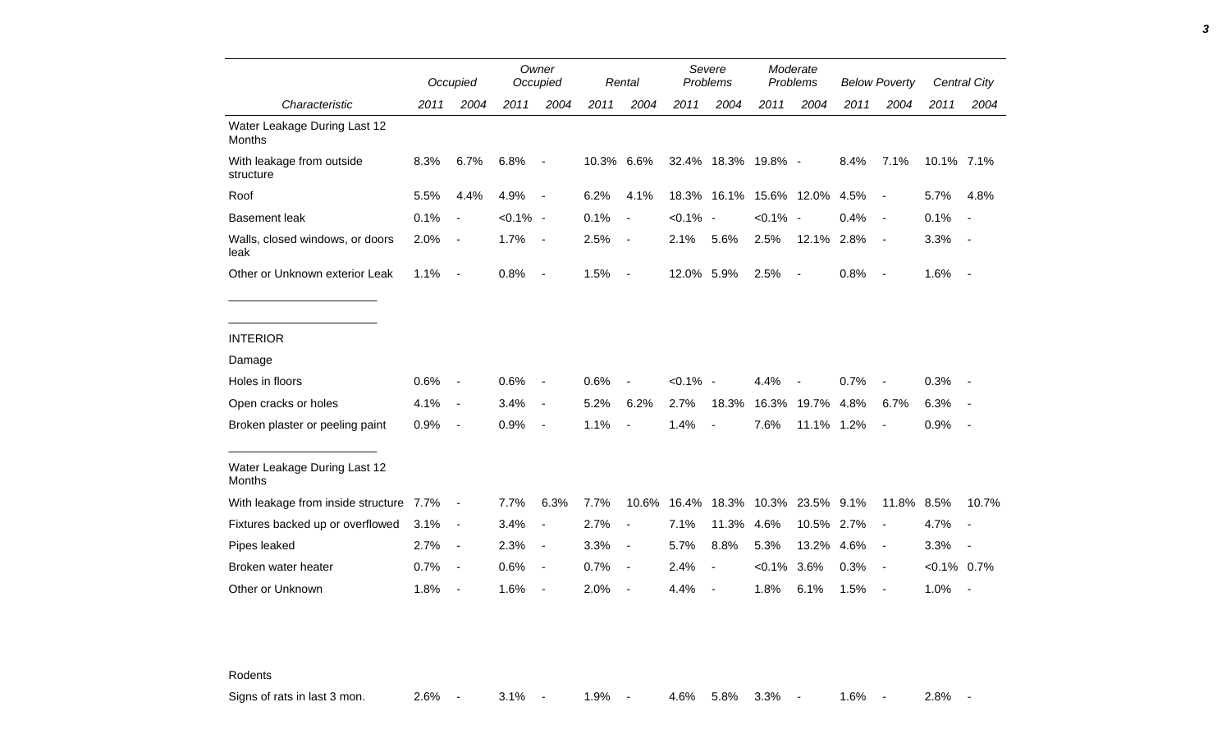|                                               |      | Occupied                 |             | Owner<br>Occupied        |       | Rental                   | Severe<br>Problems |                     | Moderate<br>Problems |                          | <b>Below Poverty</b> |                          |                | Central City             |
|-----------------------------------------------|------|--------------------------|-------------|--------------------------|-------|--------------------------|--------------------|---------------------|----------------------|--------------------------|----------------------|--------------------------|----------------|--------------------------|
| Characteristic                                | 2011 | 2004                     | 2011        | 2004                     | 2011  | 2004                     | 2011               | 2004                | 2011                 | 2004                     | 2011                 | 2004                     | 2011           | 2004                     |
| Water Leakage During Last 12<br>Months        |      |                          |             |                          |       |                          |                    |                     |                      |                          |                      |                          |                |                          |
| With leakage from outside<br>structure        | 8.3% | 6.7%                     | 6.8%        | $\blacksquare$           | 10.3% | 6.6%                     |                    | 32.4% 18.3% 19.8% - |                      |                          | 8.4%                 | 7.1%                     | 10.1% 7.1%     |                          |
| Roof                                          | 5.5% | 4.4%                     | 4.9%        | $\overline{\phantom{a}}$ | 6.2%  | 4.1%                     |                    | 18.3% 16.1%         |                      | 15.6% 12.0%              | 4.5%                 | $\sim$                   | 5.7%           | 4.8%                     |
| <b>Basement leak</b>                          | 0.1% | $\blacksquare$           | $< 0.1\%$ - |                          | 0.1%  | $\blacksquare$           | $< 0.1\%$ -        |                     | $< 0.1\%$ -          |                          | 0.4%                 | $\sim$                   | 0.1%           | $\sim$                   |
| Walls, closed windows, or doors<br>leak       | 2.0% | $\overline{\phantom{a}}$ | 1.7%        | $\blacksquare$           | 2.5%  | $\overline{\phantom{a}}$ | 2.1%               | 5.6%                | 2.5%                 | 12.1% 2.8%               |                      | $\sim$                   | 3.3%           | $\sim$                   |
| Other or Unknown exterior Leak                | 1.1% | $\blacksquare$           | 0.8%        | $\overline{\phantom{a}}$ | 1.5%  | $\blacksquare$           | 12.0% 5.9%         |                     | 2.5%                 | $\overline{\phantom{a}}$ | 0.8%                 | $\sim$                   | 1.6%           | $\sim$                   |
|                                               |      |                          |             |                          |       |                          |                    |                     |                      |                          |                      |                          |                |                          |
| <b>INTERIOR</b>                               |      |                          |             |                          |       |                          |                    |                     |                      |                          |                      |                          |                |                          |
| Damage                                        |      |                          |             |                          |       |                          |                    |                     |                      |                          |                      |                          |                |                          |
| Holes in floors                               | 0.6% | $\overline{\phantom{a}}$ | 0.6%        | $\blacksquare$           | 0.6%  |                          | $< 0.1\%$ -        |                     | 4.4%                 |                          | 0.7%                 |                          | 0.3%           |                          |
| Open cracks or holes                          | 4.1% | $\blacksquare$           | 3.4%        | $\blacksquare$           | 5.2%  | 6.2%                     | 2.7%               | 18.3%               | 16.3%                | 19.7%                    | 4.8%                 | 6.7%                     | 6.3%           |                          |
| Broken plaster or peeling paint               | 0.9% | $\blacksquare$           | 0.9%        | $\overline{\phantom{a}}$ | 1.1%  | $\blacksquare$           | 1.4%               | $\blacksquare$      | 7.6%                 | 11.1% 1.2%               |                      | $\overline{\phantom{a}}$ | 0.9%           |                          |
| Water Leakage During Last 12<br><b>Months</b> |      |                          |             |                          |       |                          |                    |                     |                      |                          |                      |                          |                |                          |
| With leakage from inside structure 7.7%       |      | $\blacksquare$           | 7.7%        | 6.3%                     | 7.7%  | 10.6%                    | 16.4%              | 18.3%               | 10.3%                | 23.5% 9.1%               |                      | 11.8% 8.5%               |                | 10.7%                    |
| Fixtures backed up or overflowed              | 3.1% | $\blacksquare$           | 3.4%        | $\overline{a}$           | 2.7%  | $\blacksquare$           | 7.1%               | 11.3%               | 4.6%                 | 10.5%                    | 2.7%                 | $\blacksquare$           | 4.7%           | $\sim$                   |
| Pipes leaked                                  | 2.7% | $\overline{\phantom{a}}$ | 2.3%        | $\blacksquare$           | 3.3%  | $\overline{\phantom{a}}$ | 5.7%               | 8.8%                | 5.3%                 | 13.2%                    | 4.6%                 | $\sim$                   | 3.3%           | $\overline{\phantom{a}}$ |
| Broken water heater                           | 0.7% | $\blacksquare$           | 0.6%        | $\blacksquare$           | 0.7%  | $\blacksquare$           | 2.4%               |                     | $< 0.1\%$            | 3.6%                     | 0.3%                 | $\sim$                   | $< 0.1\%$ 0.7% |                          |
| Other or Unknown                              | 1.8% | $\blacksquare$           | 1.6%        | $\blacksquare$           | 2.0%  |                          | 4.4%               |                     | 1.8%                 | 6.1%                     | 1.5%                 | $\overline{\phantom{a}}$ | 1.0%           | $\overline{\phantom{a}}$ |

Rodents

Signs of rats in last 3 mon. 2.6% - 3.1% - 1.9% - 4.6% 5.8% 3.3% - 1.6% - 2.8% -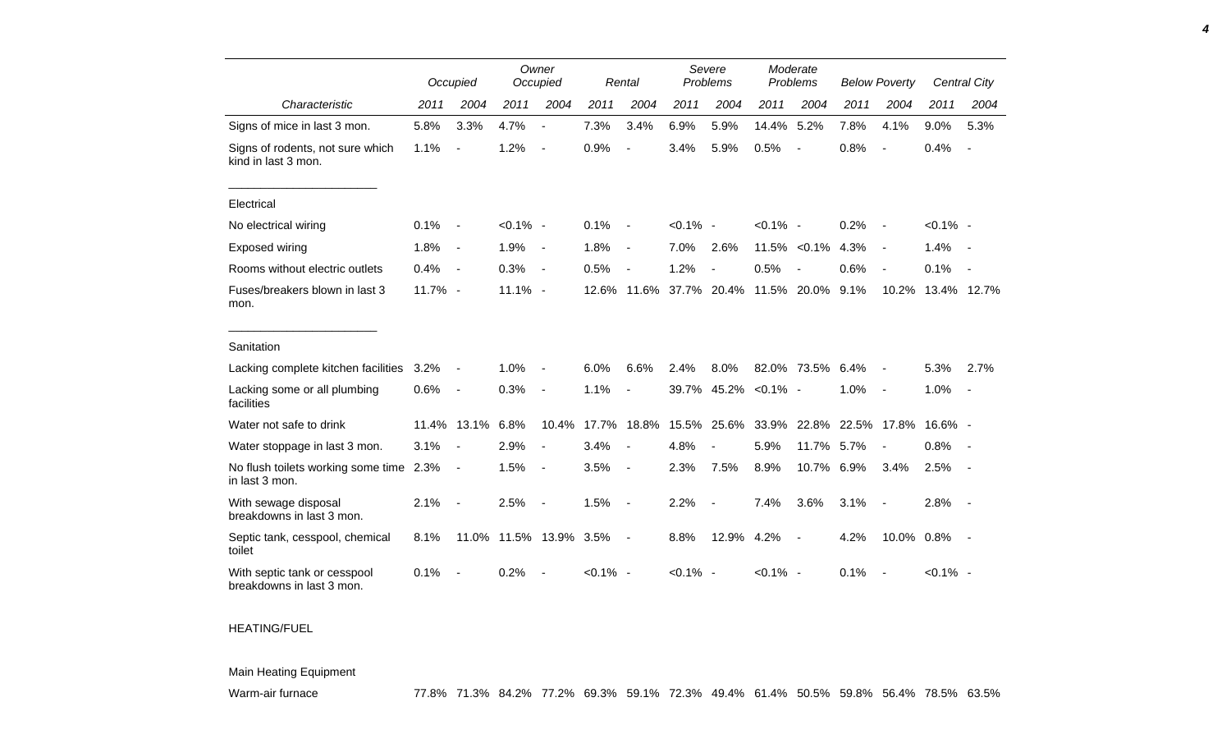|                                                           |            | Occupied                 |                        | Owner<br>Occupied        |             | Rental                   | Severe<br>Problems |                          | Moderate<br>Problems |                          | <b>Below Poverty</b> |                |             | Central City   |
|-----------------------------------------------------------|------------|--------------------------|------------------------|--------------------------|-------------|--------------------------|--------------------|--------------------------|----------------------|--------------------------|----------------------|----------------|-------------|----------------|
| Characteristic                                            | 2011       | 2004                     | 2011                   | 2004                     | 2011        | 2004                     | 2011               | 2004                     | 2011                 | 2004                     | 2011                 | 2004           | 2011        | 2004           |
| Signs of mice in last 3 mon.                              | 5.8%       | 3.3%                     | 4.7%                   | $\blacksquare$           | 7.3%        | 3.4%                     | 6.9%               | 5.9%                     | 14.4%                | 5.2%                     | 7.8%                 | 4.1%           | 9.0%        | 5.3%           |
| Signs of rodents, not sure which<br>kind in last 3 mon.   | 1.1%       | $\overline{a}$           | 1.2%                   | $\overline{\phantom{a}}$ | 0.9%        | $\overline{a}$           | 3.4%               | 5.9%                     | 0.5%                 | $\overline{\phantom{a}}$ | 0.8%                 |                | 0.4%        | $\blacksquare$ |
| Electrical                                                |            |                          |                        |                          |             |                          |                    |                          |                      |                          |                      |                |             |                |
| No electrical wiring                                      | 0.1%       | $\blacksquare$           | $< 0.1\%$ -            |                          | 0.1%        | $\overline{\phantom{a}}$ | $< 0.1\%$ -        |                          | $< 0.1\%$ -          |                          | 0.2%                 |                | $< 0.1\%$ - |                |
| Exposed wiring                                            | 1.8%       | $\blacksquare$           | 1.9%                   | $\blacksquare$           | 1.8%        | $\overline{\phantom{a}}$ | 7.0%               | 2.6%                     |                      | 11.5% < 0.1%             | 4.3%                 |                | 1.4%        | $\sim$         |
| Rooms without electric outlets                            | 0.4%       | $\overline{\phantom{a}}$ | 0.3%                   | $\overline{\phantom{a}}$ | 0.5%        | $\overline{\phantom{a}}$ | 1.2%               | $\overline{a}$           | 0.5%                 | $\overline{\phantom{a}}$ | 0.6%                 |                | 0.1%        |                |
| Fuses/breakers blown in last 3<br>mon.                    | $11.7\%$ - |                          | $11.1\%$ -             |                          | 12.6%       | 11.6%                    |                    | 37.7% 20.4%              |                      | 11.5% 20.0%              | 9.1%                 | 10.2%          |             | 13.4% 12.7%    |
| Sanitation                                                |            |                          |                        |                          |             |                          |                    |                          |                      |                          |                      |                |             |                |
| Lacking complete kitchen facilities                       | 3.2%       | $\blacksquare$           | 1.0%                   |                          | 6.0%        | 6.6%                     | 2.4%               | 8.0%                     |                      | 82.0% 73.5%              | 6.4%                 |                | 5.3%        | 2.7%           |
| Lacking some or all plumbing<br>facilities                | 0.6%       | $\blacksquare$           | 0.3%                   | $\blacksquare$           | 1.1%        | $\overline{\phantom{a}}$ |                    | 39.7% 45.2%              | $< 0.1\%$ -          |                          | 1.0%                 | $\sim$         | 1.0%        | $\sim$ $-$     |
| Water not safe to drink                                   | 11.4%      | 13.1%                    | 6.8%                   | 10.4%                    | 17.7%       | 18.8%                    | 15.5%              | 25.6%                    | 33.9%                | 22.8%                    |                      | 22.5% 17.8%    | 16.6% -     |                |
| Water stoppage in last 3 mon.                             | 3.1%       | $\overline{\phantom{a}}$ | 2.9%                   | $\blacksquare$           | 3.4%        | $\overline{\phantom{a}}$ | 4.8%               |                          | 5.9%                 | 11.7%                    | 5.7%                 | $\blacksquare$ | 0.8%        | $\sim$         |
| No flush toilets working some time<br>in last 3 mon.      | 2.3%       | $\blacksquare$           | 1.5%                   |                          | 3.5%        | $\blacksquare$           | 2.3%               | 7.5%                     | 8.9%                 | 10.7% 6.9%               |                      | 3.4%           | 2.5%        | $\sim$         |
| With sewage disposal<br>breakdowns in last 3 mon.         | 2.1%       | $\blacksquare$           | 2.5%                   | $\blacksquare$           | 1.5%        | $\blacksquare$           | 2.2%               | $\overline{\phantom{a}}$ | 7.4%                 | 3.6%                     | 3.1%                 | $\sim$         | 2.8%        | $\sim$         |
| Septic tank, cesspool, chemical<br>toilet                 | 8.1%       |                          | 11.0% 11.5% 13.9% 3.5% |                          |             | $\blacksquare$           | 8.8%               | 12.9%                    | 4.2%                 | $\blacksquare$           | 4.2%                 | 10.0% 0.8%     |             | $\sim$ $-$     |
| With septic tank or cesspool<br>breakdowns in last 3 mon. | 0.1%       |                          | 0.2%                   |                          | $< 0.1\%$ - |                          | $< 0.1\%$ -        |                          | $< 0.1\%$ -          |                          | 0.1%                 |                | $< 0.1\%$ - |                |

## HEATING/FUEL

## Main Heating Equipment

*4*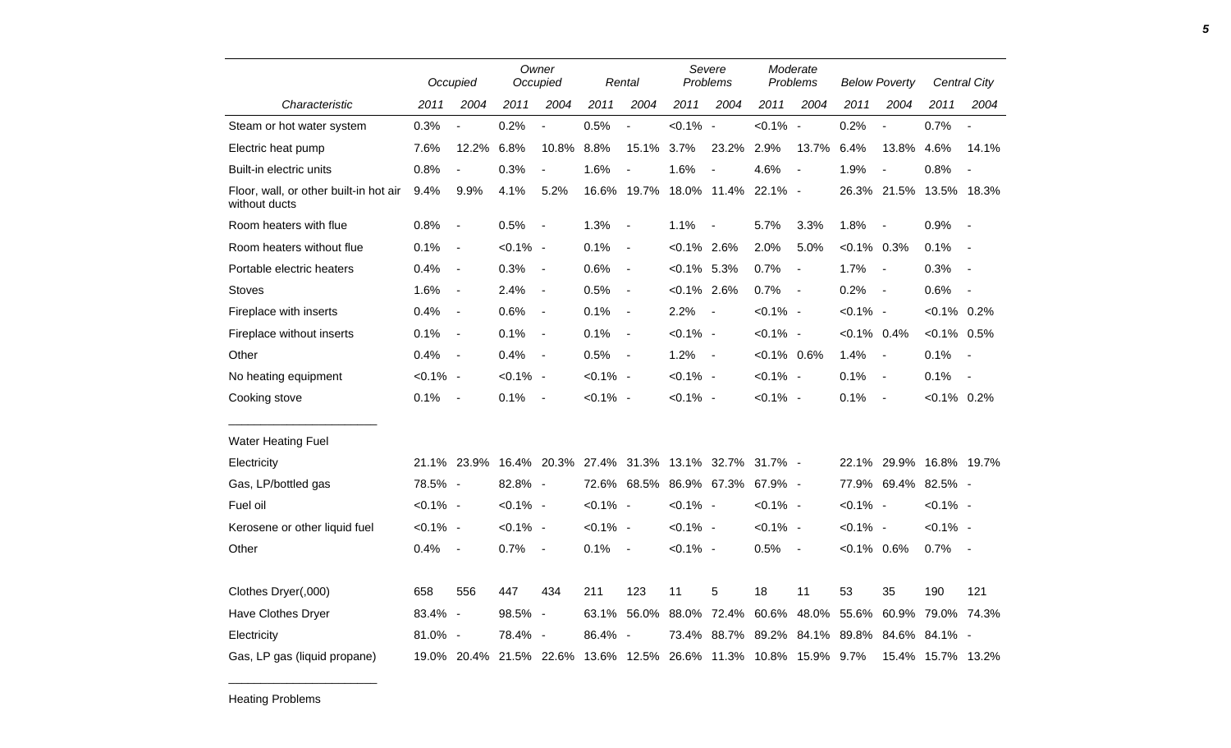|                                                         | Occupied    |                          | Owner<br>Occupied |                          | Rental      |                          | Severe<br>Problems |                                                                  | Moderate<br>Problems |                          | <b>Below Poverty</b> |                          | Central City      |                              |
|---------------------------------------------------------|-------------|--------------------------|-------------------|--------------------------|-------------|--------------------------|--------------------|------------------------------------------------------------------|----------------------|--------------------------|----------------------|--------------------------|-------------------|------------------------------|
| Characteristic                                          | 2011        | 2004                     | 2011              | 2004                     | 2011        | 2004                     | 2011               | 2004                                                             | 2011                 | 2004                     | 2011                 | 2004                     | 2011              | 2004                         |
| Steam or hot water system                               | 0.3%        | $\overline{\phantom{a}}$ | 0.2%              | $\overline{a}$           | 0.5%        | $\overline{a}$           | $< 0.1\%$ -        |                                                                  | $< 0.1\%$ -          |                          | 0.2%                 | $\frac{1}{2}$            | 0.7%              | $\overline{\phantom{a}}$     |
| Electric heat pump                                      | 7.6%        | 12.2%                    | 6.8%              | 10.8%                    | 8.8%        | 15.1%                    | 3.7%               | 23.2%                                                            | 2.9%                 | 13.7%                    | 6.4%                 | 13.8%                    | 4.6%              | 14.1%                        |
| Built-in electric units                                 | 0.8%        | $\overline{\phantom{a}}$ | 0.3%              | $\overline{\phantom{a}}$ | 1.6%        | $\overline{\phantom{a}}$ | 1.6%               | $\overline{\phantom{a}}$                                         | 4.6%                 | $\overline{\phantom{a}}$ | 1.9%                 | $\overline{\phantom{a}}$ | 0.8%              | $\overline{\phantom{a}}$     |
| Floor, wall, or other built-in hot air<br>without ducts | 9.4%        | 9.9%                     | 4.1%              | 5.2%                     |             | 16.6% 19.7%              |                    | 18.0% 11.4% 22.1% -                                              |                      |                          |                      | 26.3% 21.5%              | 13.5% 18.3%       |                              |
| Room heaters with flue                                  | 0.8%        | $\blacksquare$           | 0.5%              | $\blacksquare$           | 1.3%        | $\overline{\phantom{a}}$ | 1.1%               | $\blacksquare$                                                   | 5.7%                 | 3.3%                     | 1.8%                 | $\overline{\phantom{a}}$ | 0.9%              | $\overline{\phantom{a}}$     |
| Room heaters without flue                               | 0.1%        | $\blacksquare$           | $< 0.1\%$ -       |                          | 0.1%        | $\blacksquare$           | $< 0.1\%$ 2.6%     |                                                                  | 2.0%                 | 5.0%                     | $< 0.1\%$ 0.3%       |                          | 0.1%              | $\overline{a}$               |
| Portable electric heaters                               | 0.4%        | $\blacksquare$           | 0.3%              | $\overline{\phantom{a}}$ | 0.6%        | $\blacksquare$           | $< 0.1\%$ 5.3%     |                                                                  | 0.7%                 | $\overline{\phantom{a}}$ | 1.7%                 | $\sim$                   | 0.3%              |                              |
| <b>Stoves</b>                                           | 1.6%        | $\overline{\phantom{a}}$ | 2.4%              | $\blacksquare$           | 0.5%        | $\blacksquare$           | $< 0.1\%$ 2.6%     |                                                                  | 0.7%                 | $\sim$ $-$               | 0.2%                 | $\overline{\phantom{a}}$ | 0.6%              | $\qquad \qquad \blacksquare$ |
| Fireplace with inserts                                  | 0.4%        | $\blacksquare$           | 0.6%              | $\blacksquare$           | 0.1%        | $\blacksquare$           | 2.2%               | $\blacksquare$                                                   | $< 0.1\%$ -          |                          | $< 0.1\%$ -          |                          | $< 0.1\%$ 0.2%    |                              |
| Fireplace without inserts                               | 0.1%        | $\blacksquare$           | 0.1%              | $\blacksquare$           | 0.1%        | $\blacksquare$           | $< 0.1\%$ -        |                                                                  | $< 0.1\%$ -          |                          | $< 0.1\%$ 0.4%       |                          | $< 0.1\%$ 0.5%    |                              |
| Other                                                   | 0.4%        | $\blacksquare$           | 0.4%              | $\blacksquare$           | 0.5%        | $\sim$                   | 1.2%               | $\sim$                                                           | $< 0.1\%$ 0.6%       |                          | 1.4%                 | $\overline{\phantom{a}}$ | 0.1%              | $\overline{\phantom{a}}$     |
| No heating equipment                                    | $< 0.1\%$ - |                          | $< 0.1\%$ -       |                          | $< 0.1\%$ - |                          | $< 0.1\%$ -        |                                                                  | $< 0.1\%$ -          |                          | 0.1%                 | $\blacksquare$           | 0.1%              | $\blacksquare$               |
| Cooking stove                                           | 0.1%        | $\blacksquare$           | 0.1%              | $\blacksquare$           | $< 0.1\%$ - |                          | $< 0.1\%$ -        |                                                                  | $< 0.1\%$ -          |                          | 0.1%                 | $\blacksquare$           | $< 0.1\%$ 0.2%    |                              |
| <b>Water Heating Fuel</b>                               |             |                          |                   |                          |             |                          |                    |                                                                  |                      |                          |                      |                          |                   |                              |
| Electricity                                             |             | 21.1% 23.9%              |                   |                          |             |                          |                    | 16.4% 20.3% 27.4% 31.3% 13.1% 32.7%                              | $31.7\%$ -           |                          |                      | 22.1% 29.9% 16.8% 19.7%  |                   |                              |
| Gas, LP/bottled gas                                     | 78.5% -     |                          | 82.8% -           |                          |             | 72.6% 68.5%              |                    | 86.9% 67.3%                                                      | 67.9% -              |                          |                      | 77.9% 69.4% 82.5% -      |                   |                              |
| Fuel oil                                                | $< 0.1\%$ - |                          | $< 0.1\%$ -       |                          | $< 0.1\%$ - |                          | $< 0.1\%$ -        |                                                                  | $< 0.1\%$ -          |                          | $< 0.1\%$ -          |                          | $< 0.1\%$ -       |                              |
| Kerosene or other liquid fuel                           | $< 0.1\%$ - |                          | $< 0.1\%$ -       |                          | $< 0.1\%$ - |                          | $< 0.1\%$ -        |                                                                  | $< 0.1\%$ -          |                          | $< 0.1\%$ -          |                          | $< 0.1\%$ -       |                              |
| Other                                                   | 0.4%        | $\overline{\phantom{a}}$ | 0.7%              | $\blacksquare$           | 0.1%        | $\sim$ $-$               | $< 0.1\%$ -        |                                                                  | 0.5%                 | $\sim$ $-$               | $< 0.1\%$ 0.6%       |                          | 0.7%              | $\overline{\phantom{a}}$     |
| Clothes Dryer(,000)                                     | 658         | 556                      | 447               | 434                      | 211         | 123                      | 11                 | 5                                                                | 18                   | 11                       | 53                   | 35                       | 190               | 121                          |
| Have Clothes Dryer                                      | 83.4% -     |                          | 98.5%             | $\sim$                   | 63.1%       | 56.0%                    | 88.0%              | 72.4%                                                            | 60.6%                | 48.0%                    | 55.6%                | 60.9%                    | 79.0% 74.3%       |                              |
| Electricity                                             | 81.0% -     |                          | 78.4% -           |                          | 86.4%       | $\sim$                   | 73.4%              | 88.7%                                                            | 89.2%                | 84.1%                    | 89.8%                | 84.6%                    | 84.1% -           |                              |
| Gas, LP gas (liquid propane)                            |             |                          |                   |                          |             |                          |                    | 19.0% 20.4% 21.5% 22.6% 13.6% 12.5% 26.6% 11.3% 10.8% 15.9% 9.7% |                      |                          |                      |                          | 15.4% 15.7% 13.2% |                              |

\_\_\_\_\_\_\_\_\_\_\_\_\_\_\_\_\_\_\_\_\_\_\_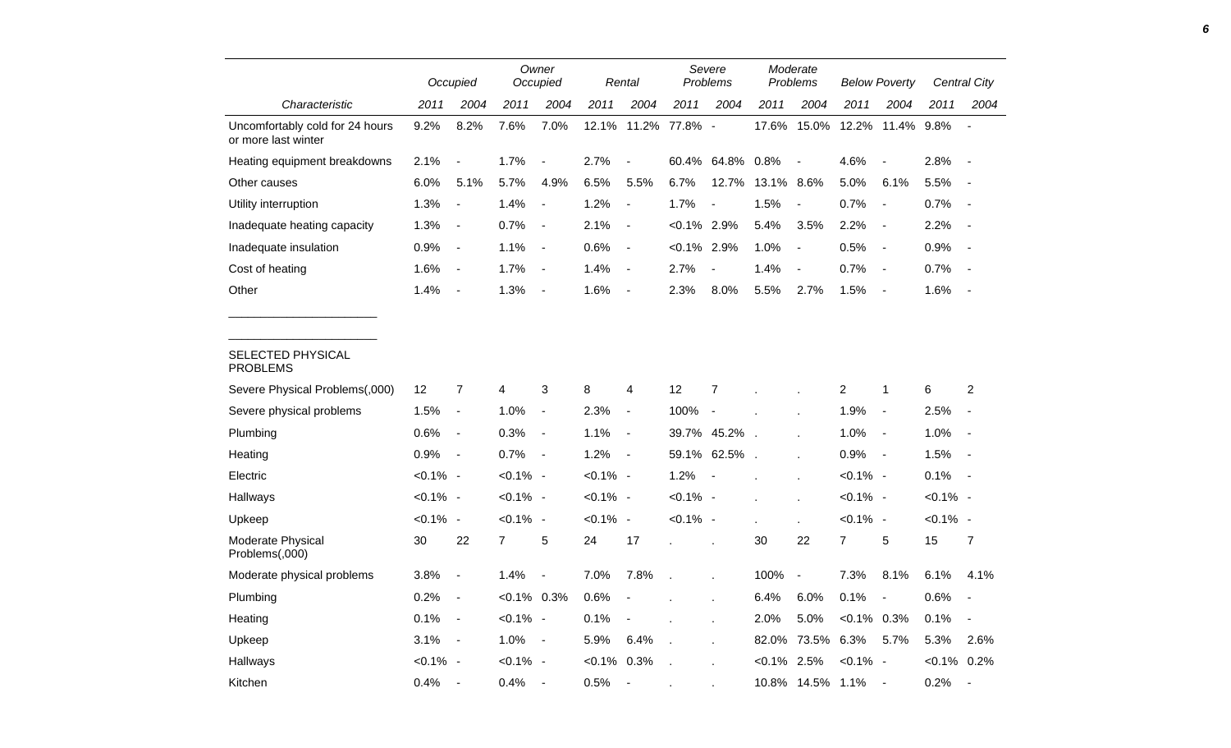|                                                        |             | Occupied                 |                | Owner<br>Occupied        |               | Rental                   |                | Severe<br>Problems |                | Moderate<br>Problems     |                | <b>Below Poverty</b> |                | Central City             |
|--------------------------------------------------------|-------------|--------------------------|----------------|--------------------------|---------------|--------------------------|----------------|--------------------|----------------|--------------------------|----------------|----------------------|----------------|--------------------------|
| Characteristic                                         | 2011        | 2004                     | 2011           | 2004                     | 2011          | 2004                     | 2011           | 2004               | 2011           | 2004                     | 2011           | 2004                 | 2011           | 2004                     |
| Uncomfortably cold for 24 hours<br>or more last winter | 9.2%        | 8.2%                     | 7.6%           | 7.0%                     | 12.1%         |                          | 11.2% 77.8% -  |                    | 17.6%          | 15.0%                    |                | 12.2% 11.4% 9.8%     |                | $\blacksquare$           |
| Heating equipment breakdowns                           | 2.1%        | $\blacksquare$           | 1.7%           | $\blacksquare$           | 2.7%          | $\blacksquare$           |                | 60.4% 64.8% 0.8%   |                | $\blacksquare$           | 4.6%           | $\blacksquare$       | 2.8%           | $\sim$                   |
| Other causes                                           | 6.0%        | 5.1%                     | 5.7%           | 4.9%                     | 6.5%          | 5.5%                     | 6.7%           | 12.7%              | 13.1%          | 8.6%                     | 5.0%           | 6.1%                 | 5.5%           | $\sim$                   |
| Utility interruption                                   | 1.3%        | $\blacksquare$           | 1.4%           | $\blacksquare$           | 1.2%          | $\sim$                   | 1.7%           | $\blacksquare$     | 1.5%           | $\overline{\phantom{a}}$ | 0.7%           | $\blacksquare$       | 0.7%           | $\sim$                   |
| Inadequate heating capacity                            | 1.3%        | $\blacksquare$           | 0.7%           | $\sim$                   | 2.1%          | $\sim$                   | $< 0.1\%$ 2.9% |                    | 5.4%           | 3.5%                     | 2.2%           | $\blacksquare$       | 2.2%           | $\blacksquare$           |
| Inadequate insulation                                  | 0.9%        | $\blacksquare$           | 1.1%           | $\sim$                   | 0.6%          | $\sim$                   | $< 0.1\%$ 2.9% |                    | 1.0%           | $\blacksquare$           | 0.5%           | $\sim$               | 0.9%           | $\overline{\phantom{a}}$ |
| Cost of heating                                        | 1.6%        | $\blacksquare$           | 1.7%           | $\overline{\phantom{a}}$ | 1.4%          | $\overline{\phantom{a}}$ | 2.7%           | $\blacksquare$     | 1.4%           | $\overline{\phantom{a}}$ | 0.7%           | $\blacksquare$       | 0.7%           | $\sim$                   |
| Other                                                  | 1.4%        | $\blacksquare$           | 1.3%           | $\sim$                   | 1.6%          | $\blacksquare$           | 2.3%           | 8.0%               | 5.5%           | 2.7%                     | 1.5%           | $\sim$               | 1.6%           | $\overline{\phantom{a}}$ |
| SELECTED PHYSICAL<br><b>PROBLEMS</b>                   |             |                          |                |                          |               |                          |                |                    |                |                          |                |                      |                |                          |
| Severe Physical Problems(,000)                         | 12          | $\overline{7}$           | 4              | 3                        | 8             | $\overline{4}$           | 12             | $\overline{7}$     |                |                          | $\overline{c}$ | $\mathbf{1}$         | 6              | $\overline{2}$           |
| Severe physical problems                               | 1.5%        | $\blacksquare$           | 1.0%           | $\blacksquare$           | 2.3%          | $\blacksquare$           | 100%           | $\sim$             |                |                          | 1.9%           | $\blacksquare$       | 2.5%           | $\blacksquare$           |
| Plumbing                                               | 0.6%        | $\blacksquare$           | 0.3%           | $\blacksquare$           | 1.1%          | $\sim$                   |                | 39.7% 45.2%.       |                |                          | 1.0%           | $\blacksquare$       | 1.0%           | $\overline{\phantom{a}}$ |
| Heating                                                | 0.9%        | $\overline{\phantom{a}}$ | 0.7%           | $\sim$                   | 1.2%          | $\sim$                   |                | 59.1% 62.5%.       |                |                          | 0.9%           | $\sim$               | 1.5%           | $\sim$                   |
| Electric                                               | $< 0.1\%$ - |                          | $< 0.1\%$ -    |                          | $< 0.1\%$ -   |                          | 1.2%           |                    |                |                          | $< 0.1\%$ -    |                      | 0.1%           | $\sim$                   |
| Hallways                                               | $< 0.1\%$ - |                          | $< 0.1\%$ -    |                          | $< 0.1\%$ -   |                          | $< 0.1\%$ -    |                    |                | ÷.                       | $< 0.1\%$ -    |                      | $< 0.1\%$ -    |                          |
| Upkeep                                                 | $< 0.1\%$ - |                          | $< 0.1\%$ -    |                          | $< 0.1\%$ -   |                          | $< 0.1\%$ -    |                    | $\mathbf{r}$   | ä,                       | $< 0.1\%$ -    |                      | $< 0.1\%$ -    |                          |
| Moderate Physical<br>Problems(,000)                    | 30          | 22                       | $\overline{7}$ | 5                        | 24            | 17                       |                | ÷.                 | 30             | 22                       | $\overline{7}$ | 5                    | 15             | 7                        |
| Moderate physical problems                             | 3.8%        | $\blacksquare$           | 1.4%           | $\overline{\phantom{a}}$ | 7.0%          | 7.8%                     |                |                    | 100%           | $\blacksquare$           | 7.3%           | 8.1%                 | 6.1%           | 4.1%                     |
| Plumbing                                               | 0.2%        | $\blacksquare$           | $< 0.1\%$ 0.3% |                          | 0.6%          | $\overline{\phantom{a}}$ |                |                    | 6.4%           | 6.0%                     | 0.1%           | $\blacksquare$       | 0.6%           | $\blacksquare$           |
| Heating                                                | 0.1%        | $\sim$                   | $< 0.1\%$ -    |                          | 0.1%          | $\blacksquare$           |                |                    | 2.0%           | 5.0%                     | $< 0.1\%$ 0.3% |                      | 0.1%           | $\overline{\phantom{a}}$ |
| Upkeep                                                 | 3.1%        | $\sim$                   | $1.0\% -$      |                          | 5.9%          | 6.4%                     | $\overline{a}$ |                    | 82.0%          | 73.5% 6.3%               |                | 5.7%                 | 5.3%           | 2.6%                     |
| Hallways                                               | $< 0.1\%$ - |                          | $< 0.1\%$ -    |                          | $<0.1\%$ 0.3% |                          |                |                    | $< 0.1\%$ 2.5% |                          | $< 0.1\%$ -    |                      | $< 0.1\%$ 0.2% |                          |
| Kitchen                                                | 0.4%        | $\sim$                   | 0.4%           | $\sim$                   | 0.5%          | $\overline{\phantom{a}}$ |                |                    |                | 10.8% 14.5% 1.1%         |                | $\sim$               | 0.2%           | $\overline{\phantom{a}}$ |